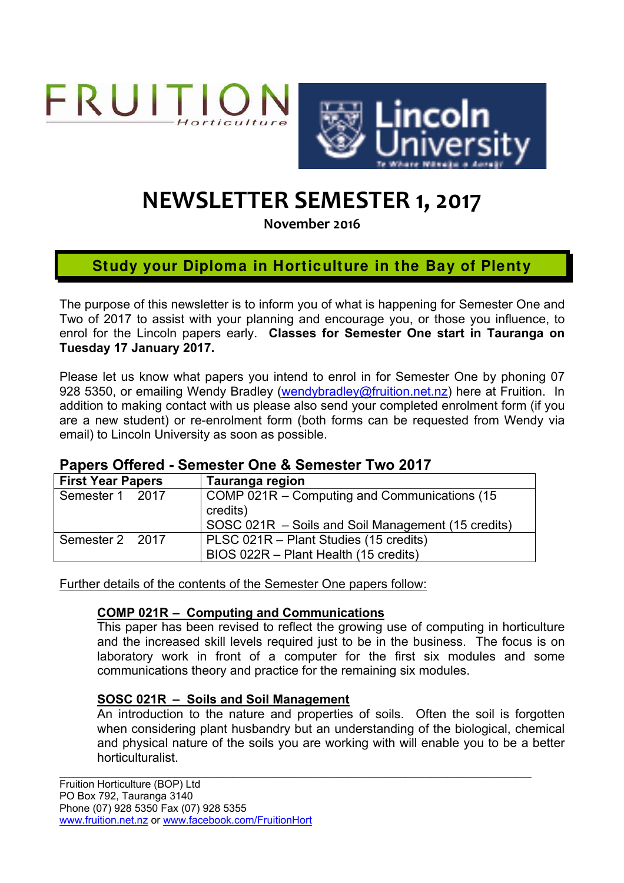



# **NEWSLETTER SEMESTER 1, 2017**

**November 2016**

# **Study your Diploma in Horticulture in the Bay of Plenty**

The purpose of this newsletter is to inform you of what is happening for Semester One and Two of 2017 to assist with your planning and encourage you, or those you influence, to enrol for the Lincoln papers early. **Classes for Semester One start in Tauranga on Tuesday 17 January 2017.**

Please let us know what papers you intend to enrol in for Semester One by phoning 07 928 5350, or emailing Wendy Bradley (wendybradley@fruition.net.nz) here at Fruition. In addition to making contact with us please also send your completed enrolment form (if you are a new student) or re-enrolment form (both forms can be requested from Wendy via email) to Lincoln University as soon as possible.

#### **Papers Offered - Semester One & Semester Two 2017**

| <b>First Year Papers</b> | Tauranga region                                                                                                |
|--------------------------|----------------------------------------------------------------------------------------------------------------|
| Semester 1 2017          | COMP 021R – Computing and Communications (15<br>credits)<br>SOSC 021R - Soils and Soil Management (15 credits) |
| Semester 2 2017          | PLSC 021R - Plant Studies (15 credits)<br>BIOS 022R - Plant Health (15 credits)                                |

Further details of the contents of the Semester One papers follow:

#### **COMP 021R – Computing and Communications**

This paper has been revised to reflect the growing use of computing in horticulture and the increased skill levels required just to be in the business. The focus is on laboratory work in front of a computer for the first six modules and some communications theory and practice for the remaining six modules.

#### **SOSC 021R – Soils and Soil Management**

An introduction to the nature and properties of soils. Often the soil is forgotten when considering plant husbandry but an understanding of the biological, chemical and physical nature of the soils you are working with will enable you to be a better horticulturalist.

 $\mathcal{L}_\mathcal{L} = \mathcal{L}_\mathcal{L} = \mathcal{L}_\mathcal{L} = \mathcal{L}_\mathcal{L} = \mathcal{L}_\mathcal{L} = \mathcal{L}_\mathcal{L} = \mathcal{L}_\mathcal{L} = \mathcal{L}_\mathcal{L} = \mathcal{L}_\mathcal{L} = \mathcal{L}_\mathcal{L} = \mathcal{L}_\mathcal{L} = \mathcal{L}_\mathcal{L} = \mathcal{L}_\mathcal{L} = \mathcal{L}_\mathcal{L} = \mathcal{L}_\mathcal{L} = \mathcal{L}_\mathcal{L} = \mathcal{L}_\mathcal{L}$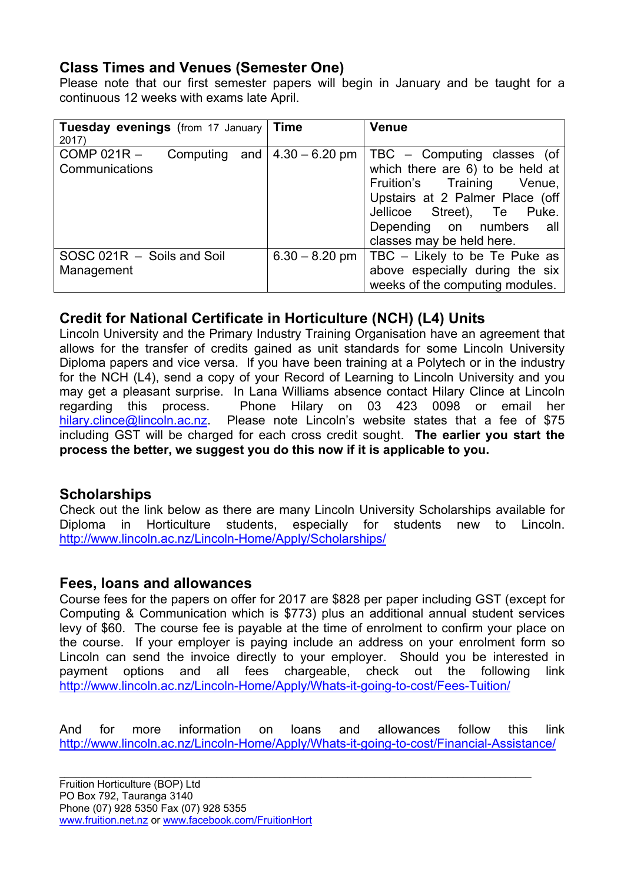# **Class Times and Venues (Semester One)**

Please note that our first semester papers will begin in January and be taught for a continuous 12 weeks with exams late April.

| <b>Tuesday evenings</b> (from 17 January   Time<br>2017)           |                  | <b>Venue</b>                                                                                                                                                                                                               |
|--------------------------------------------------------------------|------------------|----------------------------------------------------------------------------------------------------------------------------------------------------------------------------------------------------------------------------|
| $COMP 021R -$<br>Computing and $ 4.30 - 6.20$ pm<br>Communications |                  | TBC – Computing classes (of<br>which there are 6) to be held at<br>Fruition's Training Venue,<br>Upstairs at 2 Palmer Place (off<br>Jellicoe Street), Te Puke.<br>Depending on numbers<br>all<br>classes may be held here. |
| SOSC 021R - Soils and Soil<br>Management                           | $6.30 - 8.20$ pm | TBC - Likely to be Te Puke as<br>above especially during the six<br>weeks of the computing modules.                                                                                                                        |

# **Credit for National Certificate in Horticulture (NCH) (L4) Units**

Lincoln University and the Primary Industry Training Organisation have an agreement that allows for the transfer of credits gained as unit standards for some Lincoln University Diploma papers and vice versa. If you have been training at a Polytech or in the industry for the NCH (L4), send a copy of your Record of Learning to Lincoln University and you may get a pleasant surprise. In Lana Williams absence contact Hilary Clince at Lincoln regarding this process. Phone Hilary on 03 423 0098 or email her hilary.clince@lincoln.ac.nz. Please note Lincoln's website states that a fee of \$75 including GST will be charged for each cross credit sought. **The earlier you start the process the better, we suggest you do this now if it is applicable to you.**

# **Scholarships**

Check out the link below as there are many Lincoln University Scholarships available for Diploma in Horticulture students, especially for students new to Lincoln. http://www.lincoln.ac.nz/Lincoln-Home/Apply/Scholarships/

#### **Fees, loans and allowances**

Course fees for the papers on offer for 2017 are \$828 per paper including GST (except for Computing & Communication which is \$773) plus an additional annual student services levy of \$60. The course fee is payable at the time of enrolment to confirm your place on the course. If your employer is paying include an address on your enrolment form so Lincoln can send the invoice directly to your employer. Should you be interested in payment options and all fees chargeable, check out the following link http://www.lincoln.ac.nz/Lincoln-Home/Apply/Whats-it-going-to-cost/Fees-Tuition/

And for more information on loans and allowances follow this link http://www.lincoln.ac.nz/Lincoln-Home/Apply/Whats-it-going-to-cost/Financial-Assistance/

 $\mathcal{L}_\mathcal{L} = \mathcal{L}_\mathcal{L} = \mathcal{L}_\mathcal{L} = \mathcal{L}_\mathcal{L} = \mathcal{L}_\mathcal{L} = \mathcal{L}_\mathcal{L} = \mathcal{L}_\mathcal{L} = \mathcal{L}_\mathcal{L} = \mathcal{L}_\mathcal{L} = \mathcal{L}_\mathcal{L} = \mathcal{L}_\mathcal{L} = \mathcal{L}_\mathcal{L} = \mathcal{L}_\mathcal{L} = \mathcal{L}_\mathcal{L} = \mathcal{L}_\mathcal{L} = \mathcal{L}_\mathcal{L} = \mathcal{L}_\mathcal{L}$